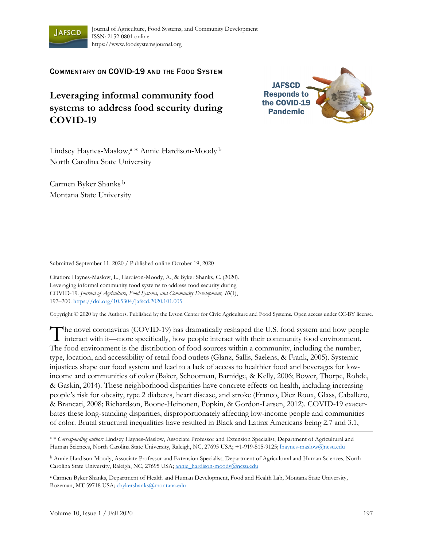

COMMENTARY ON COVID-19 AND THE FOOD SYSTEM

## **Leveraging informal community food systems to address food security during COVID-19**



Lindsey Haynes-Maslow,a \* Annie Hardison-Moody b North Carolina State University

Carmen Byker Shanks b Montana State University

Submitted September 11, 2020 / Published online October 19, 2020

Citation: Haynes-Maslow, L., Hardison-Moody, A., & Byker Shanks, C. (2020). Leveraging informal community food systems to address food security during COVID-19. *Journal of Agriculture, Food Systems, and Community Development, 10*(1), 197–200. https://doi.org/10.5304/jafscd.2020.101.005

Copyright © 2020 by the Authors. Published by the Lyson Center for Civic Agriculture and Food Systems. Open access under CC-BY license.

The novel coronavirus (COVID-19) has dramatically reshaped the U.S. food system and how people The novel coronavirus (COVID-19) has dramatically reshaped the U.S. food system and how people interact with it—more specifically, how people interact with their community food environment. The food environment is the distribution of food sources within a community, including the number, type, location, and accessibility of retail food outlets (Glanz, Sallis, Saelens, & Frank, 2005). Systemic injustices shape our food system and lead to a lack of access to healthier food and beverages for lowincome and communities of color (Baker, Schootman, Barnidge, & Kelly, 2006; Bower, Thorpe, Rohde, & Gaskin, 2014). These neighborhood disparities have concrete effects on health, including increasing people's risk for obesity, type 2 diabetes, heart disease, and stroke (Franco, Diez Roux, Glass, Caballero, & Brancati, 2008; Richardson, Boone-Heinonen, Popkin, & Gordon-Larsen, 2012). COVID-19 exacerbates these long-standing disparities, disproportionately affecting low-income people and communities of color. Brutal structural inequalities have resulted in Black and Latinx Americans being 2.7 and 3.1,

<sup>a</sup> \* *Corresponding author:* Lindsey Haynes-Maslow, Associate Professor and Extension Specialist, Department of Agricultural and Human Sciences, North Carolina State University, Raleigh, NC, 27695 USA; +1-919-515-9125; lhaynes-maslow@ncsu.edu

b Annie Hardison-Moody, Associate Professor and Extension Specialist, Department of Agricultural and Human Sciences, North Carolina State University, Raleigh, NC, 27695 USA; annie\_hardison-moody@ncsu.edu

c Carmen Byker Shanks, Department of Health and Human Development, Food and Health Lab, Montana State University, Bozeman, MT 59718 USA; cbykershanks@montana.edu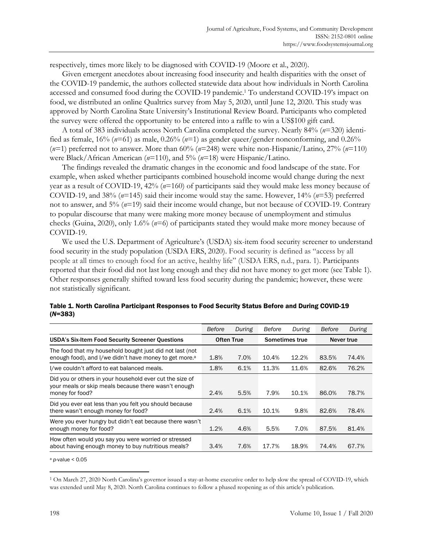respectively, times more likely to be diagnosed with COVID-19 (Moore et al., 2020).

 Given emergent anecdotes about increasing food insecurity and health disparities with the onset of the COVID-19 pandemic, the authors collected statewide data about how individuals in North Carolina accessed and consumed food during the COVID-19 pandemic.<sup>1</sup> To understand COVID-19's impact on food, we distributed an online Qualtrics survey from May 5, 2020, until June 12, 2020. This study was approved by North Carolina State University's Institutional Review Board. Participants who completed the survey were offered the opportunity to be entered into a raffle to win a US\$100 gift card.

 A total of 383 individuals across North Carolina completed the survey. Nearly 84% (*n*=320) identified as female, 16% (*n*=61) as male, 0.26% (*n*=1) as gender queer/gender nonconforming, and 0.26% (*n*=1) preferred not to answer. More than 60% (*n*=248) were white non-Hispanic/Latino, 27% (*n*=110) were Black/African American (*n*=110), and 5% (*n*=18) were Hispanic/Latino.

 The findings revealed the dramatic changes in the economic and food landscape of the state. For example, when asked whether participants combined household income would change during the next year as a result of COVID-19, 42% (*n*=160) of participants said they would make less money because of COVID-19, and 38% (*n*=145) said their income would stay the same. However, 14% (*n*=53) preferred not to answer, and 5% (*n*=19) said their income would change, but not because of COVID-19. Contrary to popular discourse that many were making more money because of unemployment and stimulus checks (Guina, 2020), only 1.6% (*n*=6) of participants stated they would make more money because of COVID-19.

 We used the U.S. Department of Agriculture's (USDA) six-item food security screener to understand food security in the study population (USDA ERS, 2020). Food security is defined as "access by all people at all times to enough food for an active, healthy life" (USDA ERS, n.d., para. 1). Participants reported that their food did not last long enough and they did not have money to get more (see Table 1). Other responses generally shifted toward less food security during the pandemic; however, these were not statistically significant.

|                                                                                                                                     | Before            | During | Before         | During | Before     | During |
|-------------------------------------------------------------------------------------------------------------------------------------|-------------------|--------|----------------|--------|------------|--------|
| <b>USDA's Six-Item Food Security Screener Questions</b>                                                                             | <b>Often True</b> |        | Sometimes true |        | Never true |        |
| The food that my household bought just did not last (not<br>enough food), and I/we didn't have money to get more. <sup>a</sup>      | 1.8%              | 7.0%   | 10.4%          | 12.2%  | 83.5%      | 74.4%  |
| I/we couldn't afford to eat balanced meals.                                                                                         | 1.8%              | 6.1%   | 11.3%          | 11.6%  | 82.6%      | 76.2%  |
| Did you or others in your household ever cut the size of<br>your meals or skip meals because there wasn't enough<br>money for food? | 2.4%              | 5.5%   | 7.9%           | 10.1%  | 86.0%      | 78.7%  |
| Did you ever eat less than you felt you should because<br>there wasn't enough money for food?                                       | 2.4%              | 6.1%   | 10.1%          | 9.8%   | 82.6%      | 78.4%  |
| Were you ever hungry but didn't eat because there wasn't<br>enough money for food?                                                  | 1.2%              | 4.6%   | 5.5%           | 7.0%   | 87.5%      | 81.4%  |
| How often would you say you were worried or stressed<br>about having enough money to buy nutritious meals?                          | 3.4%              | 7.6%   | 17.7%          | 18.9%  | 74.4%      | 67.7%  |

| Table 1. North Carolina Participant Responses to Food Security Status Before and During COVID-19 |  |
|--------------------------------------------------------------------------------------------------|--|
| $(N=383)$                                                                                        |  |

<sup>a</sup> *p*-value < 0.05

<sup>1</sup> On March 27, 2020 North Carolina's governor issued a stay-at-home executive order to help slow the spread of COVID-19, which was extended until May 8, 2020. North Carolina continues to follow a phased reopening as of this article's publication.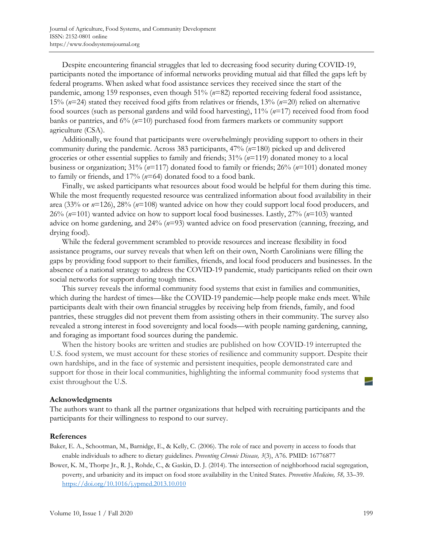Despite encountering financial struggles that led to decreasing food security during COVID-19, participants noted the importance of informal networks providing mutual aid that filled the gaps left by federal programs. When asked what food assistance services they received since the start of the pandemic, among 159 responses, even though 51% (*n*=82) reported receiving federal food assistance, 15% (*n*=24) stated they received food gifts from relatives or friends, 13% (*n*=20) relied on alternative food sources (such as personal gardens and wild food harvesting), 11% (*n*=17) received food from food banks or pantries, and 6% (*n*=10) purchased food from farmers markets or community support agriculture (CSA).

 Additionally, we found that participants were overwhelmingly providing support to others in their community during the pandemic. Across 383 participants, 47% (*n*=180) picked up and delivered groceries or other essential supplies to family and friends; 31% (*n*=119) donated money to a local business or organization; 31% (*n*=117) donated food to family or friends; 26% (*n*=101) donated money to family or friends, and 17% (*n*=64) donated food to a food bank.

 Finally, we asked participants what resources about food would be helpful for them during this time. While the most frequently requested resource was centralized information about food availability in their area (33% or *n*=126), 28% (*n*=108) wanted advice on how they could support local food producers, and 26% (*n*=101) wanted advice on how to support local food businesses. Lastly, 27% (*n*=103) wanted advice on home gardening, and 24% (*n*=93) wanted advice on food preservation (canning, freezing, and drying food).

 While the federal government scrambled to provide resources and increase flexibility in food assistance programs, our survey reveals that when left on their own, North Carolinians were filling the gaps by providing food support to their families, friends, and local food producers and businesses. In the absence of a national strategy to address the COVID-19 pandemic, study participants relied on their own social networks for support during tough times.

 This survey reveals the informal community food systems that exist in families and communities, which during the hardest of times—like the COVID-19 pandemic—help people make ends meet. While participants dealt with their own financial struggles by receiving help from friends, family, and food pantries, these struggles did not prevent them from assisting others in their community. The survey also revealed a strong interest in food sovereignty and local foods—with people naming gardening, canning, and foraging as important food sources during the pandemic.

 When the history books are written and studies are published on how COVID-19 interrupted the U.S. food system, we must account for these stories of resilience and community support. Despite their own hardships, and in the face of systemic and persistent inequities, people demonstrated care and support for those in their local communities, highlighting the informal community food systems that exist throughout the U.S.

## **Acknowledgments**

The authors want to thank all the partner organizations that helped with recruiting participants and the participants for their willingness to respond to our survey.

## **References**

Baker, E. A., Schootman, M., Barnidge, E., & Kelly, C. (2006). The role of race and poverty in access to foods that enable individuals to adhere to dietary guidelines. *Preventing Chronic Disease, 3*(3), A76. PMID: 16776877

Bower, K. M., Thorpe Jr., R. J., Rohde, C., & Gaskin, D. J. (2014). The intersection of neighborhood racial segregation, poverty, and urbanicity and its impact on food store availability in the United States. *Preventive Medicine, 58,* 33–39. https://doi.org/10.1016/j.ypmed.2013.10.010